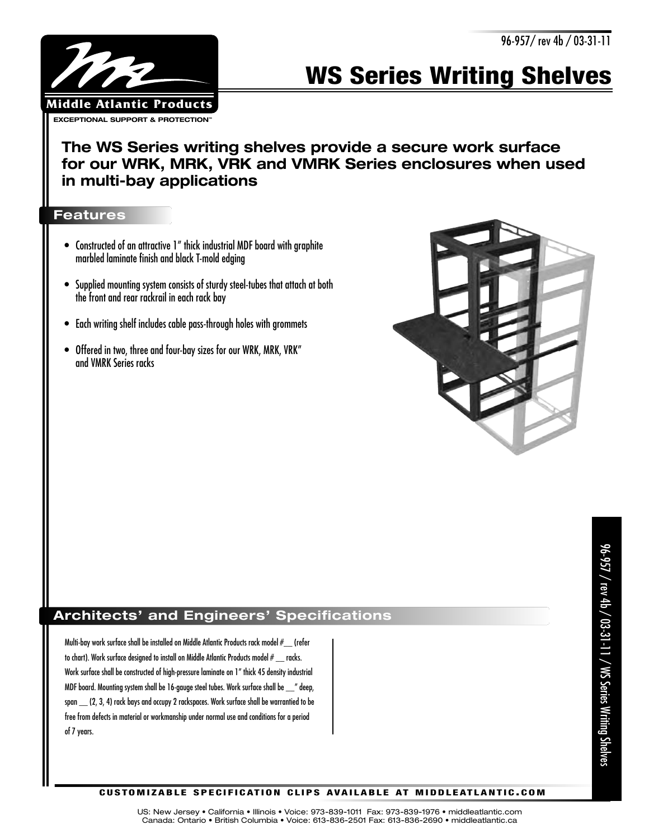

# **WS Series Writing Shelves**

**The WS Series writing shelves provide a secure work surface for our WRK, MRK, VRK and VMRK Series enclosures when used in multi-bay applications** 

#### **Features**

- Constructed of an attractive 1" thick industrial MDF board with graphite marbled laminate finish and black T-mold edging
- Supplied mounting system consists of sturdy steel-tubes that attach at both the front and rear rackrail in each rack bay
- Each writing shelf includes cable pass-through holes with grommets
- Offered in two, three and four-bay sizes for our WRK, MRK, VRK" and VMRK Series racks



## **Architects' and Engineers' Specifications**

Multi-bay work surface shall be installed on Middle Atlantic Products rack model #\_\_ (refer to chart). Work surface designed to install on Middle Atlantic Products model # \_\_ racks. Work surface shall be constructed of high-pressure laminate on 1" thick 45 density industrial MDF board. Mounting system shall be 16-gauge steel tubes. Work surface shall be \_\_" deep, span \_\_ (2, 3, 4) rack bays and occupy 2 rackspaces. Work surface shall be warrantied to be free from defects in material or workmanship under normal use and conditions for a period of 7 years.

#### **C U S TO M I Z A B L E S P E C I F I C AT I O N C L I P S AVA I L A B L E AT M I D D L E AT L A N T I C . C O M**

US: New Jersey • California • Illinois • Voice: 973-839-1011 Fax: 973-839-1976 • middleatlantic.com Canada: Ontario • British Columbia • Voice: 613-836-2501 Fax: 613-836-2690 • middleatlantic.ca